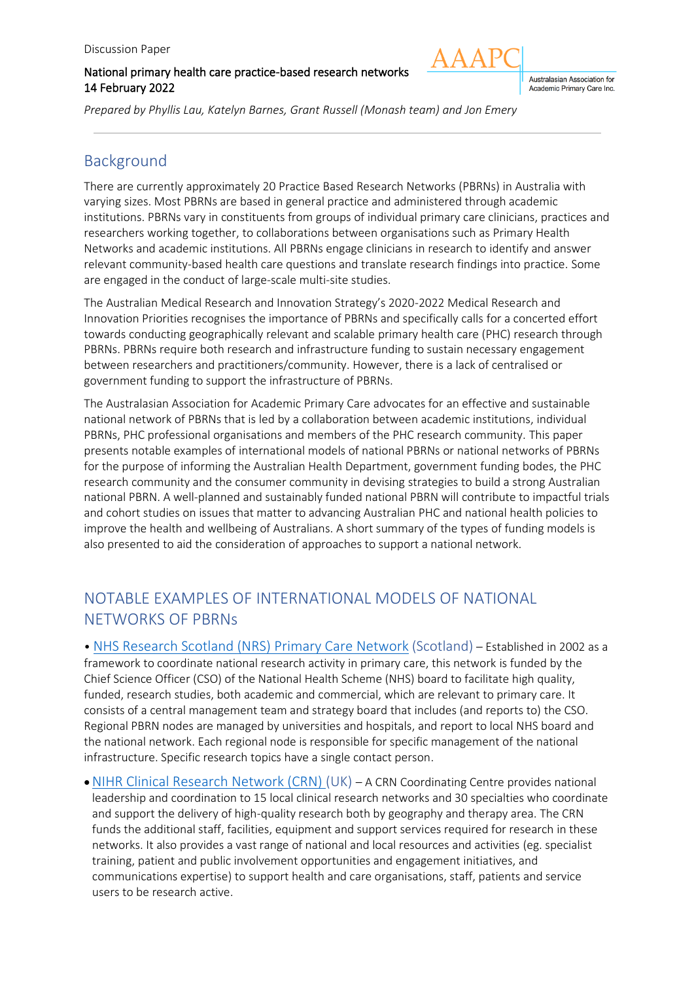#### National primary health care practice-based research networks 14 February 2022

Australasian Association for Academic Primary Care Inc.

 $\mathsf{A}\mathsf{A}\mathsf{A}$ 

*Prepared by Phyllis Lau, Katelyn Barnes, Grant Russell (Monash team) and Jon Emery*

### Background

There are currently approximately 20 Practice Based Research Networks (PBRNs) in Australia with varying sizes. Most PBRNs are based in general practice and administered through academic institutions. PBRNs vary in constituents from groups of individual primary care clinicians, practices and researchers working together, to collaborations between organisations such as Primary Health Networks and academic institutions. All PBRNs engage clinicians in research to identify and answer relevant community-based health care questions and translate research findings into practice. Some are engaged in the conduct of large-scale multi-site studies.

The Australian Medical Research and Innovation Strategy's 2020-2022 Medical Research and Innovation Priorities recognises the importance of PBRNs and specifically calls for a concerted effort towards conducting geographically relevant and scalable primary health care (PHC) research through PBRNs. PBRNs require both research and infrastructure funding to sustain necessary engagement between researchers and practitioners/community. However, there is a lack of centralised or government funding to support the infrastructure of PBRNs.

The Australasian Association for Academic Primary Care advocates for an effective and sustainable national network of PBRNs that is led by a collaboration between academic institutions, individual PBRNs, PHC professional organisations and members of the PHC research community. This paper presents notable examples of international models of national PBRNs or national networks of PBRNs for the purpose of informing the Australian Health Department, government funding bodes, the PHC research community and the consumer community in devising strategies to build a strong Australian national PBRN. A well-planned and sustainably funded national PBRN will contribute to impactful trials and cohort studies on issues that matter to advancing Australian PHC and national health policies to improve the health and wellbeing of Australians. A short summary of the types of funding models is also presented to aid the consideration of approaches to support a national network.

# NOTABLE EXAMPLES OF INTERNATIONAL MODELS OF NATIONAL NETWORKS OF PBRNs

• [NHS Research Scotland \(NRS\)](https://www.nhsresearchscotland.org.uk/research-areas/primary-care) Primary Care Network (Scotland) – Established in 2002 as a framework to coordinate national research activity in primary care, this network is funded by the Chief Science Officer (CSO) of the National Health Scheme (NHS) board to facilitate high quality, funded, research studies, both academic and commercial, which are relevant to primary care. It consists of a central management team and strategy board that includes (and reports to) the CSO. Regional PBRN nodes are managed by universities and hospitals, and report to local NHS board and the national network. Each regional node is responsible for specific management of the national infrastructure. Specific research topics have a single contact person.

• [NIHR Clinical Research Network \(CRN\)](https://www.nihr.ac.uk/explore-nihr/support/clinical-research-network.htm) (UK) – A CRN Coordinating Centre provides national leadership and coordination to 15 local clinical research networks and 30 specialties who coordinate and support the delivery of high-quality research both by geography and therapy area. The CRN funds the additional staff, facilities, equipment and support services required for research in these networks. It also provides a vast range of national and local resources and activities (eg. specialist training, patient and public involvement opportunities and engagement initiatives, and communications expertise) to support health and care organisations, staff, patients and service users to be research active.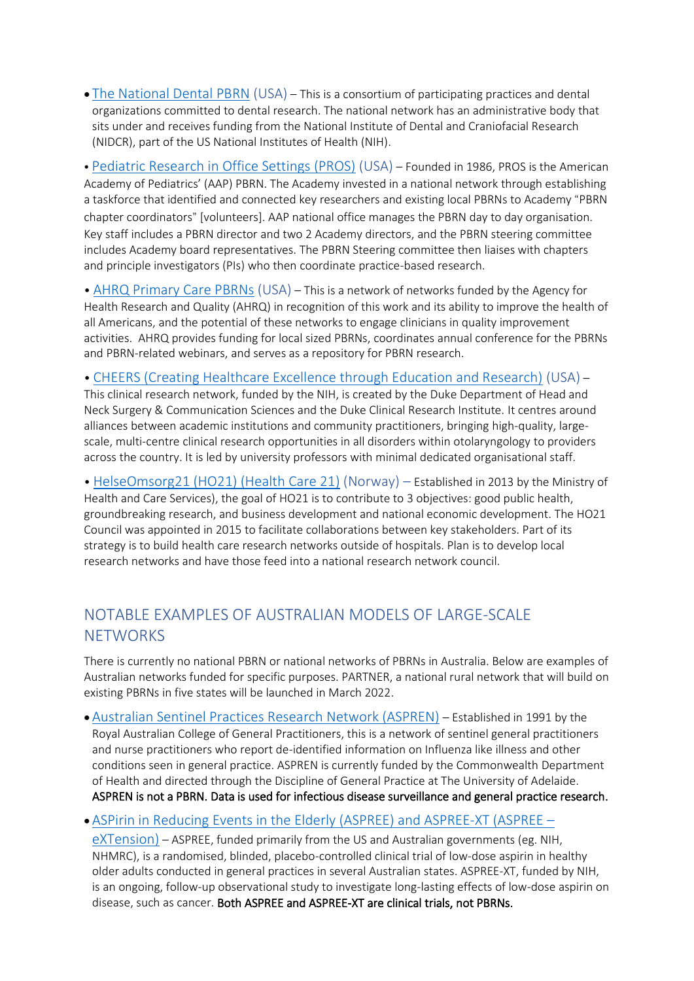• [The National Dental PBRN](https://www.nationaldentalpbrn.org/) (USA) – This is a consortium of participating practices and dental organizations committed to dental research. The national network has an administrative body that sits under and receives funding from the National Institute of Dental and Craniofacial Research (NIDCR), part of the US National Institutes of Health (NIH).

• [Pediatric Research in Office Settings](https://www.research.chop.edu/pediatric-research-in-office-settings) (PROS) (USA) – Founded in 1986, PROS is the American Academy of Pediatrics' (AAP) PBRN. The Academy invested in a national network through establishing a taskforce that identified and connected key researchers and existing local PBRNs to Academy "PBRN chapter coordinators" [volunteers]. AAP national office manages the PBRN day to day organisation. Key staff includes a PBRN director and two 2 Academy directors, and the PBRN steering committee includes Academy board representatives. The PBRN Steering committee then liaises with chapters and principle investigators (PIs) who then coordinate practice-based research.

• [AHRQ Primary Care PBRNs](https://www.ahrq.gov/research/findings/factsheets/primary/pbrn/index.html) (USA) – This is a network of networks funded by the Agency for Health Research and Quality (AHRQ) in recognition of this work and its ability to improve the health of all Americans, and the potential of these networks to engage clinicians in quality improvement activities. AHRQ provides funding for local sized PBRNs, coordinates annual conference for the PBRNs and PBRN-related webinars, and serves as a repository for PBRN research.

• [CHEERS \(Creating Healthcare Excellence through Education and Research\)](https://headnecksurgery.duke.edu/research/clinical-research/cheer-clinical-research-network) (USA) –

This clinical research network, funded by the NIH, is created by the Duke Department of Head and Neck Surgery & Communication Sciences and the Duke Clinical Research Institute. It centres around alliances between academic institutions and community practitioners, bringing high-quality, largescale, multi-centre clinical research opportunities in all disorders within otolaryngology to providers across the country. It is led by university professors with minimal dedicated organisational staff.

• HelseOmsorg21 (HO21) [\(Health Care 21\)](https://www.helseomsorg21.no/) (Norway) – Established in 2013 by the Ministry of Health and Care Services), the goal of HO21 is to contribute to 3 objectives: good public health, groundbreaking research, and business development and national economic development. The HO21 Council was appointed in 2015 to facilitate collaborations between key stakeholders. Part of its strategy is to build health care research networks outside of hospitals. Plan is to develop local research networks and have those feed into a national research network council.

#### NOTABLE EXAMPLES OF AUSTRALIAN MODELS OF LARGE-SCALE **NETWORKS**

There is currently no national PBRN or national networks of PBRNs in Australia. Below are examples of Australian networks funded for specific purposes. PARTNER, a national rural network that will build on existing PBRNs in five states will be launched in March 2022.

- [Australian Sentinel Practices Research Network \(ASPREN\)](https://aspren.dmac.adelaide.edu.au/) Established in 1991 by the Royal Australian College of General Practitioners, this is a network of sentinel general practitioners and nurse practitioners who report de-identified information on Influenza like illness and other conditions seen in general practice. ASPREN is currently funded by the Commonwealth Department of Health and directed through the Discipline of General Practice at The University of Adelaide. ASPREN is not a PBRN. Data is used for infectious disease surveillance and general practice research.
- [ASPirin in Reducing Events in the Elderly \(ASPREE\)](https://aspree.org/aus/) and ASPREE-XT (ASPREE –

[eXTension\)](https://aspree.org/aus/) – ASPREE, funded primarily from the US and Australian governments (eg. NIH, NHMRC), is a randomised, blinded, placebo-controlled clinical trial of low-dose aspirin in healthy older adults conducted in general practices in several Australian states. ASPREE-XT, funded by NIH, is an ongoing, follow-up observational study to investigate long-lasting effects of low-dose aspirin on disease, such as cancer. Both ASPREE and ASPREE-XT are clinical trials, not PBRNs.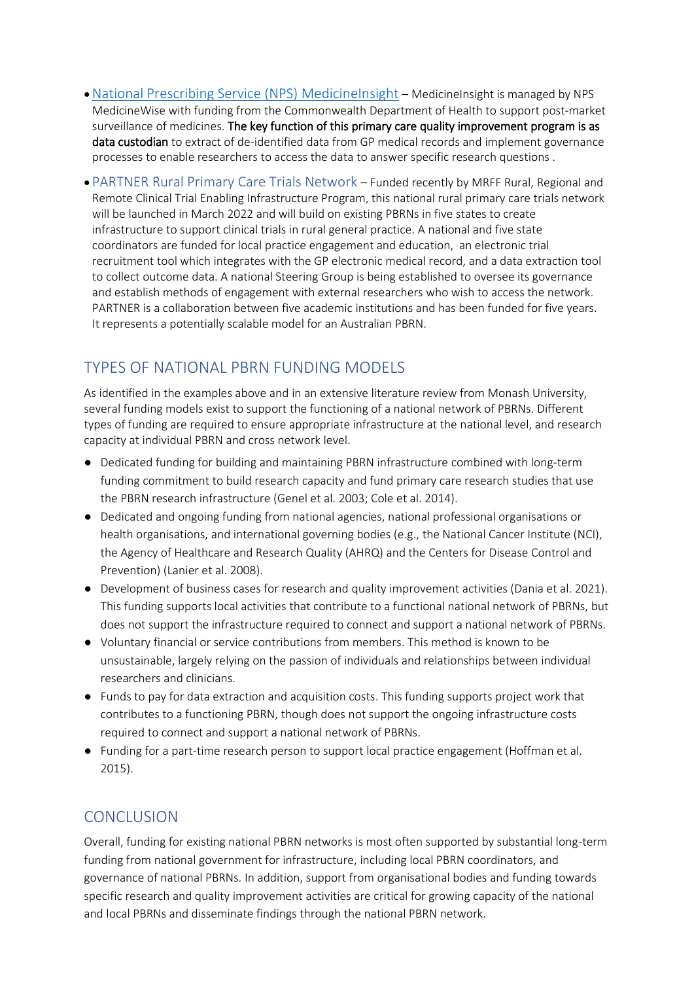- [National Prescribing Service \(NPS\) MedicineInsight](https://www.nps.org.au/medicine-insight) MedicineInsight is managed by NPS MedicineWise with funding from the Commonwealth Department of Health to support post-market surveillance of medicines. The key function of this primary care quality improvement program is as data custodian to extract of de-identified data from GP medical records and implement governance processes to enable researchers to access the data to answer specific research questions .
- PARTNER Rural Primary Care Trials Network Funded recently by MRFF Rural, Regional and Remote Clinical Trial Enabling Infrastructure Program, this national rural primary care trials network will be launched in March 2022 and will build on existing PBRNs in five states to create infrastructure to support clinical trials in rural general practice. A national and five state coordinators are funded for local practice engagement and education, an electronic trial recruitment tool which integrates with the GP electronic medical record, and a data extraction tool to collect outcome data. A national Steering Group is being established to oversee its governance and establish methods of engagement with external researchers who wish to access the network. PARTNER is a collaboration between five academic institutions and has been funded for five years. It represents a potentially scalable model for an Australian PBRN.

## TYPES OF NATIONAL PBRN FUNDING MODELS

As identified in the examples above and in an extensive literature review from Monash University, several funding models exist to support the functioning of a national network of PBRNs. Different types of funding are required to ensure appropriate infrastructure at the national level, and research capacity at individual PBRN and cross network level.

- Dedicated funding for building and maintaining PBRN infrastructure combined with long-term funding commitment to build research capacity and fund primary care research studies that use the PBRN research infrastructure (Genel et al. 2003; Cole et al. 2014).
- Dedicated and ongoing funding from national agencies, national professional organisations or health organisations, and international governing bodies (e.g., the National Cancer Institute (NCI), the Agency of Healthcare and Research Quality (AHRQ) and the Centers for Disease Control and Prevention) (Lanier et al. 2008).
- Development of business cases for research and quality improvement activities (Dania et al. 2021). This funding supports local activities that contribute to a functional national network of PBRNs, but does not support the infrastructure required to connect and support a national network of PBRNs.
- Voluntary financial or service contributions from members. This method is known to be unsustainable, largely relying on the passion of individuals and relationships between individual researchers and clinicians.
- Funds to pay for data extraction and acquisition costs. This funding supports project work that contributes to a functioning PBRN, though does not support the ongoing infrastructure costs required to connect and support a national network of PBRNs.
- Funding for a part-time research person to support local practice engagement (Hoffman et al. 2015).

#### **CONCLUSION**

Overall, funding for existing national PBRN networks is most often supported by substantial long-term funding from national government for infrastructure, including local PBRN coordinators, and governance of national PBRNs. In addition, support from organisational bodies and funding towards specific research and quality improvement activities are critical for growing capacity of the national and local PBRNs and disseminate findings through the national PBRN network.